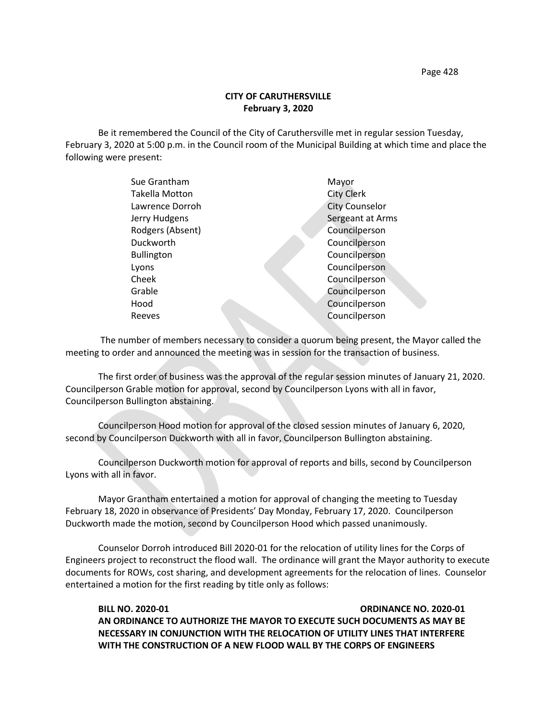Page 428

## **CITY OF CARUTHERSVILLE February 3, 2020**

Be it remembered the Council of the City of Caruthersville met in regular session Tuesday, February 3, 2020 at 5:00 p.m. in the Council room of the Municipal Building at which time and place the following were present:

| Sue Grantham          | Mayor                 |
|-----------------------|-----------------------|
| <b>Takella Motton</b> | <b>City Clerk</b>     |
| Lawrence Dorroh       | <b>City Counselor</b> |
| Jerry Hudgens         | Sergeant at Arms      |
| Rodgers (Absent)      | Councilperson         |
| Duckworth             | Councilperson         |
| <b>Bullington</b>     | Councilperson         |
| Lyons                 | Councilperson         |
| Cheek                 | Councilperson         |
| Grable                | Councilperson         |
| Hood                  | Councilperson         |
| Reeves                | Councilperson         |
|                       |                       |

 The number of members necessary to consider a quorum being present, the Mayor called the meeting to order and announced the meeting was in session for the transaction of business.

The first order of business was the approval of the regular session minutes of January 21, 2020. Councilperson Grable motion for approval, second by Councilperson Lyons with all in favor, Councilperson Bullington abstaining.

Councilperson Hood motion for approval of the closed session minutes of January 6, 2020, second by Councilperson Duckworth with all in favor, Councilperson Bullington abstaining.

Councilperson Duckworth motion for approval of reports and bills, second by Councilperson Lyons with all in favor.

Mayor Grantham entertained a motion for approval of changing the meeting to Tuesday February 18, 2020 in observance of Presidents' Day Monday, February 17, 2020. Councilperson Duckworth made the motion, second by Councilperson Hood which passed unanimously.

Counselor Dorroh introduced Bill 2020-01 for the relocation of utility lines for the Corps of Engineers project to reconstruct the flood wall. The ordinance will grant the Mayor authority to execute documents for ROWs, cost sharing, and development agreements for the relocation of lines. Counselor entertained a motion for the first reading by title only as follows:

**BILL NO. 2020-01 ORDINANCE NO. 2020-01 AN ORDINANCE TO AUTHORIZE THE MAYOR TO EXECUTE SUCH DOCUMENTS AS MAY BE NECESSARY IN CONJUNCTION WITH THE RELOCATION OF UTILITY LINES THAT INTERFERE WITH THE CONSTRUCTION OF A NEW FLOOD WALL BY THE CORPS OF ENGINEERS**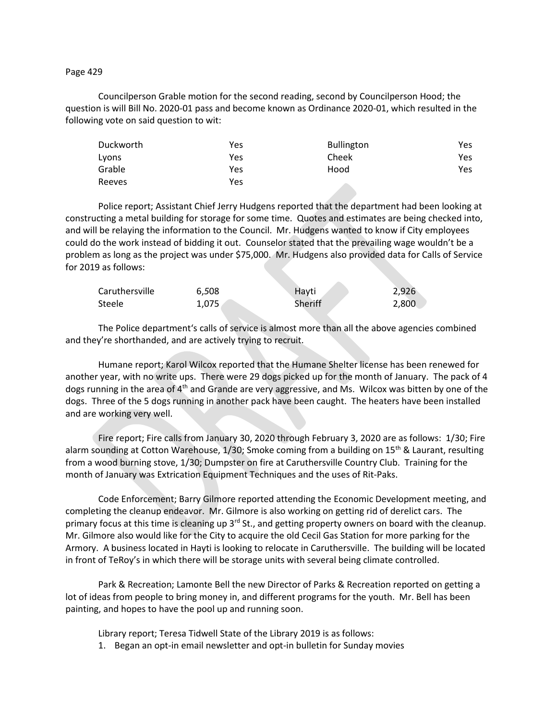Page 429

Councilperson Grable motion for the second reading, second by Councilperson Hood; the question is will Bill No. 2020-01 pass and become known as Ordinance 2020-01, which resulted in the following vote on said question to wit:

| Duckworth | Yes | <b>Bullington</b> | Yes |
|-----------|-----|-------------------|-----|
| Lyons     | Yes | Cheek             | Yes |
| Grable    | Yes | Hood              | Yes |
| Reeves    | Yes |                   |     |

Police report; Assistant Chief Jerry Hudgens reported that the department had been looking at constructing a metal building for storage for some time. Quotes and estimates are being checked into, and will be relaying the information to the Council. Mr. Hudgens wanted to know if City employees could do the work instead of bidding it out. Counselor stated that the prevailing wage wouldn't be a problem as long as the project was under \$75,000. Mr. Hudgens also provided data for Calls of Service for 2019 as follows:

| Caruthersville | 6.508 | Havti   | 2,926 |
|----------------|-------|---------|-------|
| Steele         | 1.075 | Sheriff | 2,800 |

The Police department's calls of service is almost more than all the above agencies combined and they're shorthanded, and are actively trying to recruit.

Humane report; Karol Wilcox reported that the Humane Shelter license has been renewed for another year, with no write ups. There were 29 dogs picked up for the month of January. The pack of 4 dogs running in the area of 4<sup>th</sup> and Grande are very aggressive, and Ms. Wilcox was bitten by one of the dogs. Three of the 5 dogs running in another pack have been caught. The heaters have been installed and are working very well.

Fire report; Fire calls from January 30, 2020 through February 3, 2020 are as follows: 1/30; Fire alarm sounding at Cotton Warehouse, 1/30; Smoke coming from a building on 15<sup>th</sup> & Laurant, resulting from a wood burning stove, 1/30; Dumpster on fire at Caruthersville Country Club. Training for the month of January was Extrication Equipment Techniques and the uses of Rit-Paks.

Code Enforcement; Barry Gilmore reported attending the Economic Development meeting, and completing the cleanup endeavor. Mr. Gilmore is also working on getting rid of derelict cars. The primary focus at this time is cleaning up 3<sup>rd</sup> St., and getting property owners on board with the cleanup. Mr. Gilmore also would like for the City to acquire the old Cecil Gas Station for more parking for the Armory. A business located in Hayti is looking to relocate in Caruthersville. The building will be located in front of TeRoy's in which there will be storage units with several being climate controlled.

Park & Recreation; Lamonte Bell the new Director of Parks & Recreation reported on getting a lot of ideas from people to bring money in, and different programs for the youth. Mr. Bell has been painting, and hopes to have the pool up and running soon.

Library report; Teresa Tidwell State of the Library 2019 is as follows:

1. Began an opt-in email newsletter and opt-in bulletin for Sunday movies